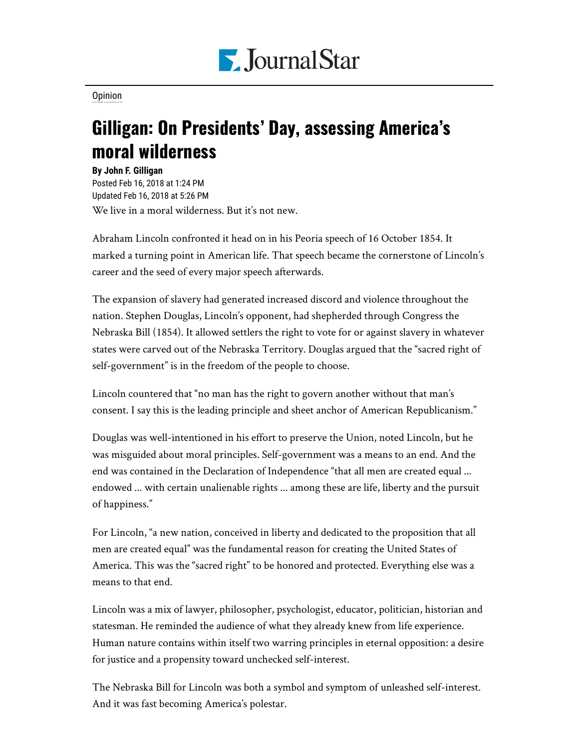

[Opinion](https://www.pjstar.com/search?text=Opinion)

## Gilligan: On Presidents' Day, assessing America's moral wilderness

**By John F. Gilligan** Posted Feb 16, 2018 at 1:24 PM Updated Feb 16, 2018 at 5:26 PM We live in a moral wilderness. But it's not new.

Abraham Lincoln confronted it head on in his Peoria speech of 16 October 1854. It marked a turning point in American life. That speech became the cornerstone of Lincoln's career and the seed of every major speech afterwards.

The expansion of slavery had generated increased discord and violence throughout the nation. Stephen Douglas, Lincoln's opponent, had shepherded through Congress the Nebraska Bill (1854). It allowed settlers the right to vote for or against slavery in whatever states were carved out of the Nebraska Territory. Douglas argued that the "sacred right of self-government" is in the freedom of the people to choose.

Lincoln countered that "no man has the right to govern another without that man's consent. I say this is the leading principle and sheet anchor of American Republicanism."

Douglas was well-intentioned in his effort to preserve the Union, noted Lincoln, but he was misguided about moral principles. Self-government was a means to an end. And the end was contained in the Declaration of Independence "that all men are created equal ... endowed ... with certain unalienable rights ... among these are life, liberty and the pursuit of happiness."

For Lincoln, "a new nation, conceived in liberty and dedicated to the proposition that all men are created equal" was the fundamental reason for creating the United States of America. This was the "sacred right" to be honored and protected. Everything else was a means to that end.

Lincoln was a mix of lawyer, philosopher, psychologist, educator, politician, historian and statesman. He reminded the audience of what they already knew from life experience. Human nature contains within itself two warring principles in eternal opposition: a desire for justice and a propensity toward unchecked self-interest.

The Nebraska Bill for Lincoln was both a symbol and symptom of unleashed self-interest. And it was fast becoming America's polestar.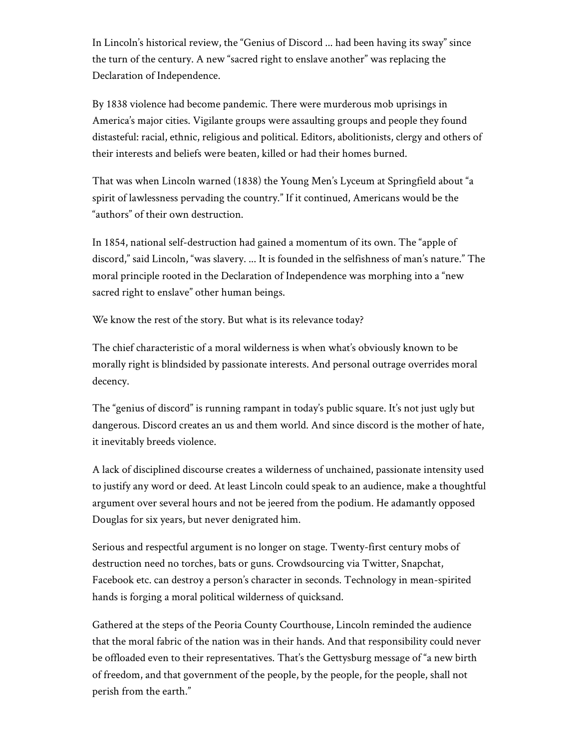In Lincoln's historical review, the "Genius of Discord ... had been having its sway" since the turn of the century. A new "sacred right to enslave another" was replacing the Declaration of Independence.

By 1838 violence had become pandemic. There were murderous mob uprisings in America's major cities. Vigilante groups were assaulting groups and people they found distasteful: racial, ethnic, religious and political. Editors, abolitionists, clergy and others of their interests and beliefs were beaten, killed or had their homes burned.

That was when Lincoln warned (1838) the Young Men's Lyceum at Springfield about "a spirit of lawlessness pervading the country." If it continued, Americans would be the "authors" of their own destruction.

In 1854, national self-destruction had gained a momentum of its own. The "apple of discord," said Lincoln, "was slavery. ... It is founded in the selfishness of man's nature." The moral principle rooted in the Declaration of Independence was morphing into a "new sacred right to enslave" other human beings.

We know the rest of the story. But what is its relevance today?

The chief characteristic of a moral wilderness is when what's obviously known to be morally right is blindsided by passionate interests. And personal outrage overrides moral decency.

The "genius of discord" is running rampant in today's public square. It's not just ugly but dangerous. Discord creates an us and them world. And since discord is the mother of hate, it inevitably breeds violence.

A lack of disciplined discourse creates a wilderness of unchained, passionate intensity used to justify any word or deed. At least Lincoln could speak to an audience, make a thoughtful argument over several hours and not be jeered from the podium. He adamantly opposed Douglas for six years, but never denigrated him.

Serious and respectful argument is no longer on stage. Twenty-first century mobs of destruction need no torches, bats or guns. Crowdsourcing via Twitter, Snapchat, Facebook etc. can destroy a person's character in seconds. Technology in mean-spirited hands is forging a moral political wilderness of quicksand.

Gathered at the steps of the Peoria County Courthouse, Lincoln reminded the audience that the moral fabric of the nation was in their hands. And that responsibility could never be offloaded even to their representatives. That's the Gettysburg message of "a new birth of freedom, and that government of the people, by the people, for the people, shall not perish from the earth."